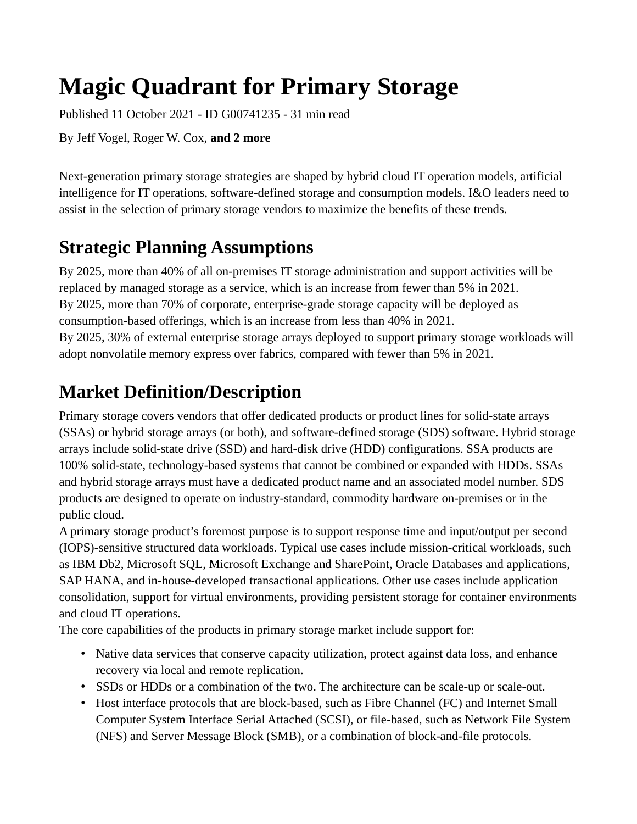# Magic Quadrant for Primary Storage

Published 11 October 2021 - ID G00741235 - 31 min read

By Jeff Vogel, Roger W. Cox, and 2 more

Next-generation primary storage strategies are shaped by hybrid cloud IT operation models, artificial intelligence for IT operations, software-defined storage and consumption models. I&O leaders need to assist in the selection of primary storage vendors to maximize the benefits of these trends.

# Strategic Planning Assumptions

By 2025, more than 40% of all on-premises IT storage administration and support activities will be replaced by managed storage as a service, which is an increase from fewer than 5% in 2021. By 2025, more than 70% of corporate, enterprise-grade storage capacity will be deployed as consumption-based offerings, which is an increase from less than 40% in 2021. By 2025, 30% of external enterprise storage arrays deployed to support primary storage workloads will adopt nonvolatile memory express over fabrics, compared with fewer than 5% in 2021.

# Market Definition/Description

Primary storage covers vendors that offer dedicated products or product lines for solid-state arrays (SSAs) or hybrid storage arrays (or both), and software-defined storage (SDS) software. Hybrid storage arrays include solid-state drive (SSD) and hard-disk drive (HDD) configurations. SSA products are 100% solid-state, technology-based systems that cannot be combined or expanded with HDDs. SSAs and hybrid storage arrays must have a dedicated product name and an associated model number. SDS products are designed to operate on industry-standard, commodity hardware on-premises or in the public cloud.

A primary storage product's foremost purpose is to support response time and input/output per second (IOPS)-sensitive structured data workloads. Typical use cases include mission-critical workloads, such as IBM Db2, Microsoft SQL, Microsoft Exchange and SharePoint, Oracle Databases and applications, SAP HANA, and in-house-developed transactional applications. Other use cases include application consolidation, support for virtual environments, providing persistent storage for container environments and cloud IT operations.

The core capabilities of the products in primary storage market include support for:

- Native data services that conserve capacity utilization, protect against data loss, and enhance recovery via local and remote replication.
- SSDs or HDDs or a combination of the two. The architecture can be scale-up or scale-out.
- Host interface protocols that are block-based, such as Fibre Channel (FC) and Internet Small Computer System Interface Serial Attached (SCSI), or file-based, such as Network File System (NFS) and Server Message Block (SMB), or a combination of block-and-file protocols.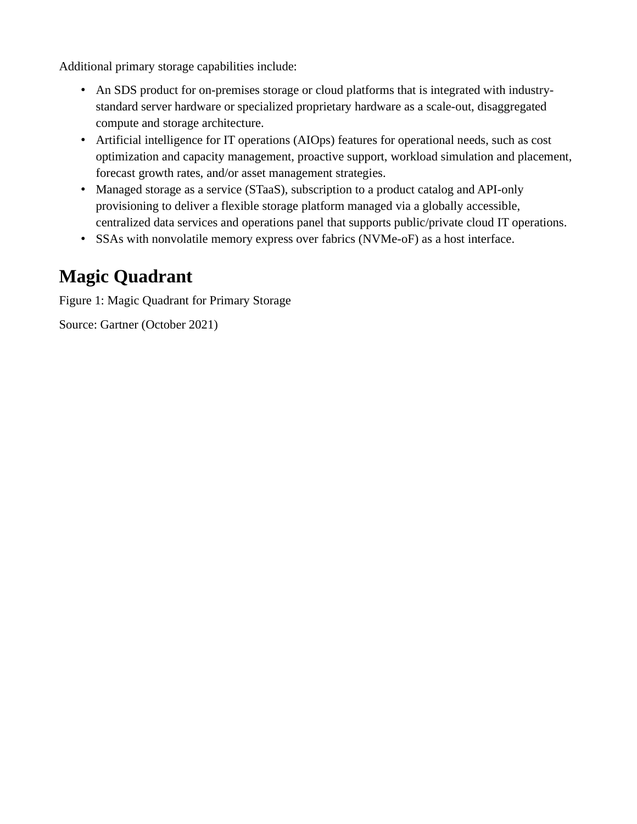Additional primary storage capabilities include:

- An SDS product for on-premises storage or cloud platforms that is integrated with industrystandard server hardware or specialized proprietary hardware as a scale-out, disaggregated compute and storage architecture.
- Artificial intelligence for IT operations (AIOps) features for operational needs, such as cost optimization and capacity management, proactive support, workload simulation and placement, forecast growth rates, and/or asset management strategies.
- Managed storage as a service (STaaS), subscription to a product catalog and API-only provisioning to deliver a flexible storage platform managed via a globally accessible, centralized data services and operations panel that supports public/private cloud IT operations.
- SSAs with nonvolatile memory express over fabrics (NVMe-oF) as a host interface.

# Magic Quadrant

Figure 1: Magic Quadrant for Primary Storage

Source: Gartner (October 2021)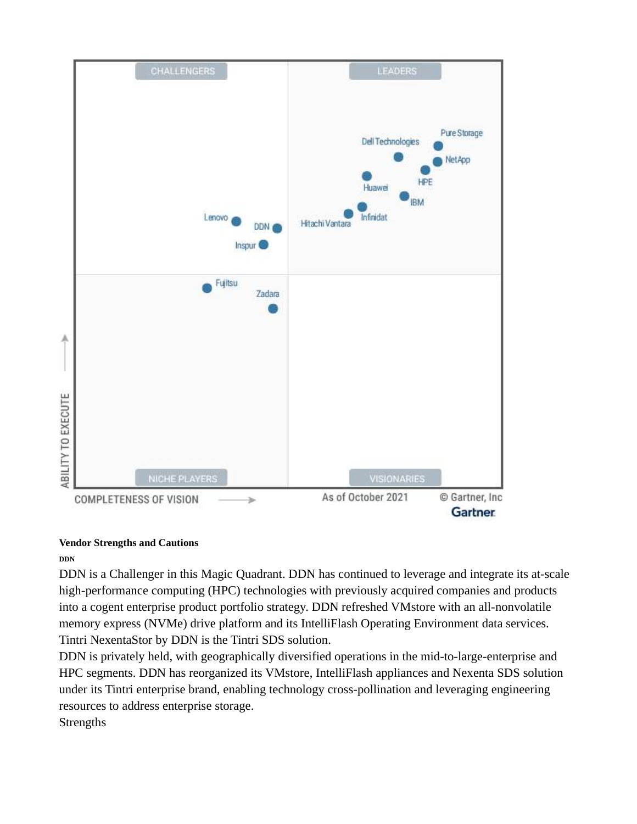

#### Vendor Strengths and Cautions

DDN

DDN is a Challenger in this Magic Quadrant. DDN has continued to leverage and integrate its at-scale high-performance computing (HPC) technologies with previously acquired companies and products into a cogent enterprise product portfolio strategy. DDN refreshed VMstore with an all-nonvolatile memory express (NVMe) drive platform and its IntelliFlash Operating Environment data services. Tintri NexentaStor by DDN is the Tintri SDS solution.

DDN is privately held, with geographically diversified operations in the mid-to-large-enterprise and HPC segments. DDN has reorganized its VMstore, IntelliFlash appliances and Nexenta SDS solution under its Tintri enterprise brand, enabling technology cross-pollination and leveraging engineering resources to address enterprise storage. **Strengths**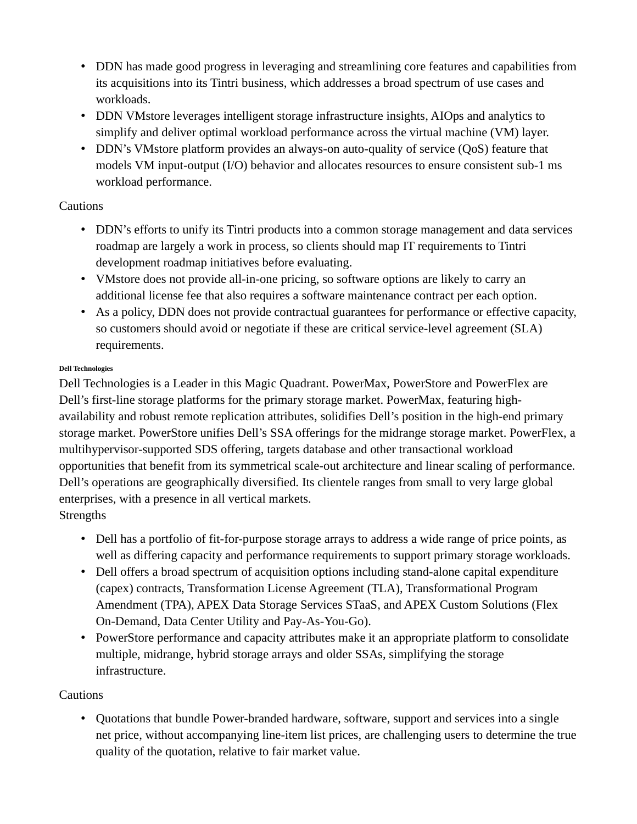- DDN has made good progress in leveraging and streamlining core features and capabilities from its acquisitions into its Tintri business, which addresses a broad spectrum of use cases and workloads.
- DDN VMstore leverages intelligent storage infrastructure insights, AIOps and analytics to simplify and deliver optimal workload performance across the virtual machine (VM) layer.
- DDN's VMstore platform provides an always-on auto-quality of service (QoS) feature that models VM input-output (I/O) behavior and allocates resources to ensure consistent sub-1 ms workload performance.

### **Cautions**

- DDN's efforts to unify its Tintri products into a common storage management and data services roadmap are largely a work in process, so clients should map IT requirements to Tintri development roadmap initiatives before evaluating.
- VMstore does not provide all-in-one pricing, so software options are likely to carry an additional license fee that also requires a software maintenance contract per each option.
- As a policy, DDN does not provide contractual guarantees for performance or effective capacity, so customers should avoid or negotiate if these are critical service-level agreement (SLA) requirements.

#### Dell Technologies

Dell Technologies is a Leader in this Magic Quadrant. PowerMax, PowerStore and PowerFlex are Dell's first-line storage platforms for the primary storage market. PowerMax, featuring highavailability and robust remote replication attributes, solidifies Dell's position in the high-end primary storage market. PowerStore unifies Dell's SSA offerings for the midrange storage market. PowerFlex, a multihypervisor-supported SDS offering, targets database and other transactional workload opportunities that benefit from its symmetrical scale-out architecture and linear scaling of performance. Dell's operations are geographically diversified. Its clientele ranges from small to very large global enterprises, with a presence in all vertical markets. **Strengths** 

- Dell has a portfolio of fit-for-purpose storage arrays to address a wide range of price points, as well as differing capacity and performance requirements to support primary storage workloads.
- Dell offers a broad spectrum of acquisition options including stand-alone capital expenditure (capex) contracts, Transformation License Agreement (TLA), Transformational Program Amendment (TPA), APEX Data Storage Services STaaS, and APEX Custom Solutions (Flex On-Demand, Data Center Utility and Pay-As-You-Go).
- PowerStore performance and capacity attributes make it an appropriate platform to consolidate multiple, midrange, hybrid storage arrays and older SSAs, simplifying the storage infrastructure.

## Cautions

• Quotations that bundle Power-branded hardware, software, support and services into a single net price, without accompanying line-item list prices, are challenging users to determine the true quality of the quotation, relative to fair market value.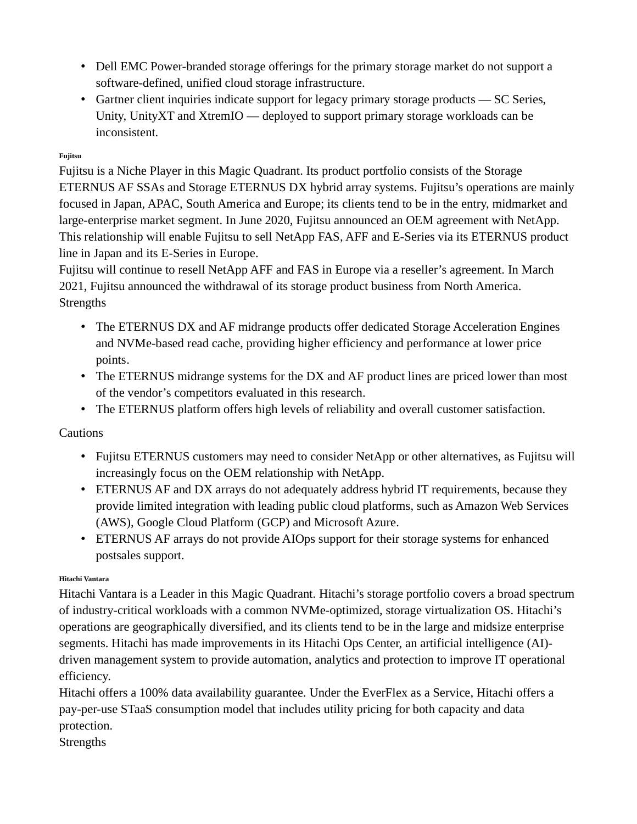- Dell EMC Power-branded storage offerings for the primary storage market do not support a software-defined, unified cloud storage infrastructure.
- Gartner client inquiries indicate support for legacy primary storage products SC Series, Unity, UnityXT and XtremIO — deployed to support primary storage workloads can be inconsistent.

#### Fujitsu

Fujitsu is a Niche Player in this Magic Quadrant. Its product portfolio consists of the Storage ETERNUS AF SSAs and Storage ETERNUS DX hybrid array systems. Fujitsu's operations are mainly focused in Japan, APAC, South America and Europe; its clients tend to be in the entry, midmarket and large-enterprise market segment. In June 2020, Fujitsu announced an OEM agreement with NetApp. This relationship will enable Fujitsu to sell NetApp FAS, AFF and E-Series via its ETERNUS product line in Japan and its E-Series in Europe.

Fujitsu will continue to resell NetApp AFF and FAS in Europe via a reseller's agreement. In March 2021, Fujitsu announced the withdrawal of its storage product business from North America. **Strengths** 

- The ETERNUS DX and AF midrange products offer dedicated Storage Acceleration Engines and NVMe-based read cache, providing higher efficiency and performance at lower price points.
- The ETERNUS midrange systems for the DX and AF product lines are priced lower than most of the vendor's competitors evaluated in this research.
- The ETERNUS platform offers high levels of reliability and overall customer satisfaction.

## **Cautions**

- Fujitsu ETERNUS customers may need to consider NetApp or other alternatives, as Fujitsu will increasingly focus on the OEM relationship with NetApp.
- ETERNUS AF and DX arrays do not adequately address hybrid IT requirements, because they provide limited integration with leading public cloud platforms, such as Amazon Web Services (AWS), Google Cloud Platform (GCP) and Microsoft Azure.
- ETERNUS AF arrays do not provide AIOps support for their storage systems for enhanced postsales support.

#### Hitachi Vantara

Hitachi Vantara is a Leader in this Magic Quadrant. Hitachi's storage portfolio covers a broad spectrum of industry-critical workloads with a common NVMe-optimized, storage virtualization OS. Hitachi's operations are geographically diversified, and its clients tend to be in the large and midsize enterprise segments. Hitachi has made improvements in its Hitachi Ops Center, an artificial intelligence (AI) driven management system to provide automation, analytics and protection to improve IT operational efficiency.

Hitachi offers a 100% data availability guarantee. Under the EverFlex as a Service, Hitachi offers a pay-per-use STaaS consumption model that includes utility pricing for both capacity and data protection.

**Strengths**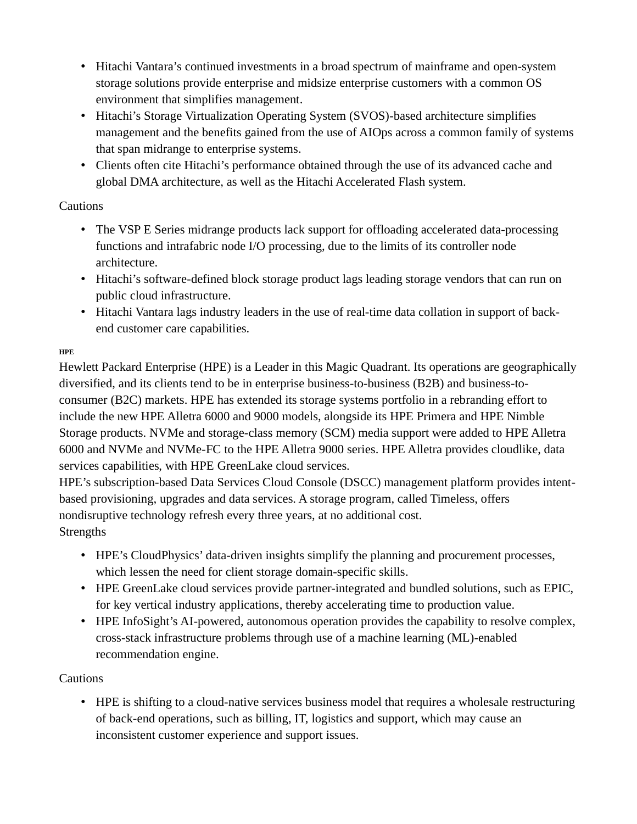- Hitachi Vantara's continued investments in a broad spectrum of mainframe and open-system storage solutions provide enterprise and midsize enterprise customers with a common OS environment that simplifies management.
- Hitachi's Storage Virtualization Operating System (SVOS)-based architecture simplifies management and the benefits gained from the use of AIOps across a common family of systems that span midrange to enterprise systems.
- Clients often cite Hitachi's performance obtained through the use of its advanced cache and global DMA architecture, as well as the Hitachi Accelerated Flash system.

## **Cautions**

- The VSP E Series midrange products lack support for offloading accelerated data-processing functions and intrafabric node I/O processing, due to the limits of its controller node architecture.
- Hitachi's software-defined block storage product lags leading storage vendors that can run on public cloud infrastructure.
- Hitachi Vantara lags industry leaders in the use of real-time data collation in support of backend customer care capabilities.

## HPE

Hewlett Packard Enterprise (HPE) is a Leader in this Magic Quadrant. Its operations are geographically diversified, and its clients tend to be in enterprise business-to-business (B2B) and business-toconsumer (B2C) markets. HPE has extended its storage systems portfolio in a rebranding effort to include the new HPE Alletra 6000 and 9000 models, alongside its HPE Primera and HPE Nimble Storage products. NVMe and storage-class memory (SCM) media support were added to HPE Alletra 6000 and NVMe and NVMe-FC to the HPE Alletra 9000 series. HPE Alletra provides cloudlike, data services capabilities, with HPE GreenLake cloud services.

HPE's subscription-based Data Services Cloud Console (DSCC) management platform provides intentbased provisioning, upgrades and data services. A storage program, called Timeless, offers nondisruptive technology refresh every three years, at no additional cost. **Strengths** 

- HPE's CloudPhysics' data-driven insights simplify the planning and procurement processes, which lessen the need for client storage domain-specific skills.
- HPE GreenLake cloud services provide partner-integrated and bundled solutions, such as EPIC, for key vertical industry applications, thereby accelerating time to production value.
- HPE InfoSight's AI-powered, autonomous operation provides the capability to resolve complex, cross-stack infrastructure problems through use of a machine learning (ML)-enabled recommendation engine.

# **Cautions**

• HPE is shifting to a cloud-native services business model that requires a wholesale restructuring of back-end operations, such as billing, IT, logistics and support, which may cause an inconsistent customer experience and support issues.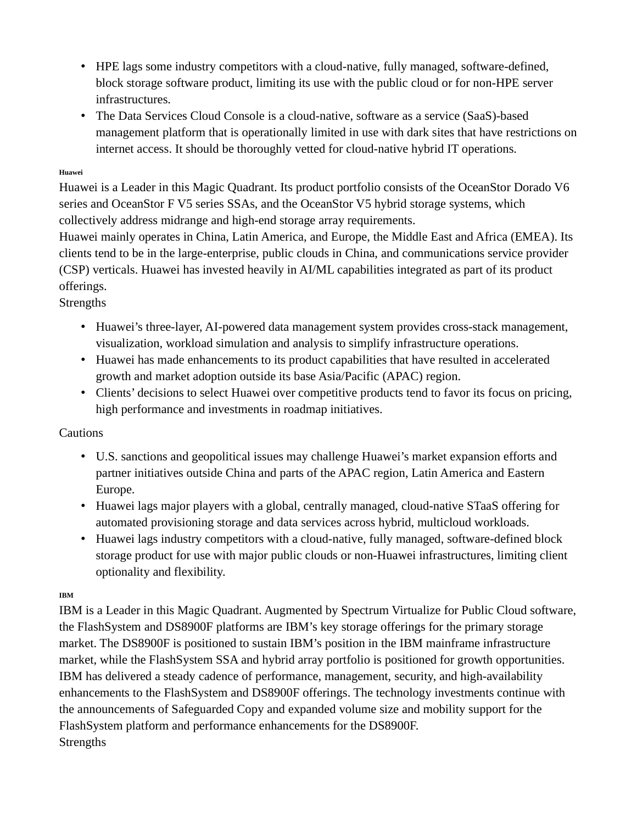- HPE lags some industry competitors with a cloud-native, fully managed, software-defined, block storage software product, limiting its use with the public cloud or for non-HPE server infrastructures.
- The Data Services Cloud Console is a cloud-native, software as a service (SaaS)-based management platform that is operationally limited in use with dark sites that have restrictions on internet access. It should be thoroughly vetted for cloud-native hybrid IT operations.

#### Huawei

Huawei is a Leader in this Magic Quadrant. Its product portfolio consists of the OceanStor Dorado V6 series and OceanStor F V5 series SSAs, and the OceanStor V5 hybrid storage systems, which collectively address midrange and high-end storage array requirements.

Huawei mainly operates in China, Latin America, and Europe, the Middle East and Africa (EMEA). Its clients tend to be in the large-enterprise, public clouds in China, and communications service provider (CSP) verticals. Huawei has invested heavily in AI/ML capabilities integrated as part of its product offerings.

#### **Strengths**

- Huawei's three-layer, AI-powered data management system provides cross-stack management, visualization, workload simulation and analysis to simplify infrastructure operations.
- Huawei has made enhancements to its product capabilities that have resulted in accelerated growth and market adoption outside its base Asia/Pacific (APAC) region.
- Clients' decisions to select Huawei over competitive products tend to favor its focus on pricing, high performance and investments in roadmap initiatives.

#### **Cautions**

- U.S. sanctions and geopolitical issues may challenge Huawei's market expansion efforts and partner initiatives outside China and parts of the APAC region, Latin America and Eastern Europe.
- Huawei lags major players with a global, centrally managed, cloud-native STaaS offering for automated provisioning storage and data services across hybrid, multicloud workloads.
- Huawei lags industry competitors with a cloud-native, fully managed, software-defined block storage product for use with major public clouds or non-Huawei infrastructures, limiting client optionality and flexibility.

#### IBM

IBM is a Leader in this Magic Quadrant. Augmented by Spectrum Virtualize for Public Cloud software, the FlashSystem and DS8900F platforms are IBM's key storage offerings for the primary storage market. The DS8900F is positioned to sustain IBM's position in the IBM mainframe infrastructure market, while the FlashSystem SSA and hybrid array portfolio is positioned for growth opportunities. IBM has delivered a steady cadence of performance, management, security, and high-availability enhancements to the FlashSystem and DS8900F offerings. The technology investments continue with the announcements of Safeguarded Copy and expanded volume size and mobility support for the FlashSystem platform and performance enhancements for the DS8900F. **Strengths**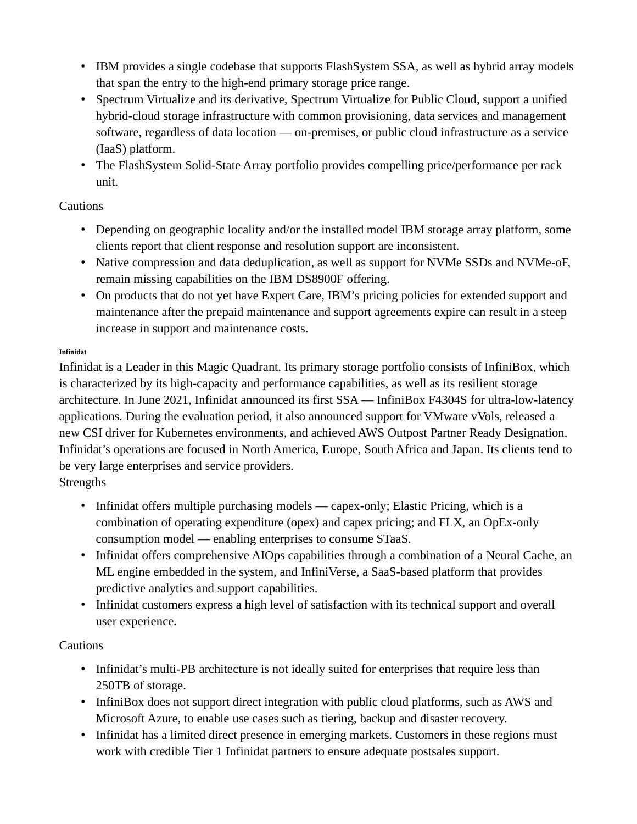- IBM provides a single codebase that supports FlashSystem SSA, as well as hybrid array models that span the entry to the high-end primary storage price range.
- Spectrum Virtualize and its derivative, Spectrum Virtualize for Public Cloud, support a unified hybrid-cloud storage infrastructure with common provisioning, data services and management software, regardless of data location — on-premises, or public cloud infrastructure as a service (IaaS) platform.
- The FlashSystem Solid-State Array portfolio provides compelling price/performance per rack unit.

#### **Cautions**

- Depending on geographic locality and/or the installed model IBM storage array platform, some clients report that client response and resolution support are inconsistent.
- Native compression and data deduplication, as well as support for NVMe SSDs and NVMe-oF, remain missing capabilities on the IBM DS8900F offering.
- On products that do not yet have Expert Care, IBM's pricing policies for extended support and maintenance after the prepaid maintenance and support agreements expire can result in a steep increase in support and maintenance costs.

#### Infinidat

Infinidat is a Leader in this Magic Quadrant. Its primary storage portfolio consists of InfiniBox, which is characterized by its high-capacity and performance capabilities, as well as its resilient storage architecture. In June 2021, Infinidat announced its first SSA — InfiniBox F4304S for ultra-low-latency applications. During the evaluation period, it also announced support for VMware vVols, released a new CSI driver for Kubernetes environments, and achieved AWS Outpost Partner Ready Designation. Infinidat's operations are focused in North America, Europe, South Africa and Japan. Its clients tend to be very large enterprises and service providers.

**Strengths** 

- Infinidat offers multiple purchasing models capex-only; Elastic Pricing, which is a combination of operating expenditure (opex) and capex pricing; and FLX, an OpEx-only consumption model — enabling enterprises to consume STaaS.
- Infinidat offers comprehensive AIOps capabilities through a combination of a Neural Cache, an ML engine embedded in the system, and InfiniVerse, a SaaS-based platform that provides predictive analytics and support capabilities.
- Infinidat customers express a high level of satisfaction with its technical support and overall user experience.

# Cautions

- Infinidat's multi-PB architecture is not ideally suited for enterprises that require less than 250TB of storage.
- InfiniBox does not support direct integration with public cloud platforms, such as AWS and Microsoft Azure, to enable use cases such as tiering, backup and disaster recovery.
- Infinidat has a limited direct presence in emerging markets. Customers in these regions must work with credible Tier 1 Infinidat partners to ensure adequate postsales support.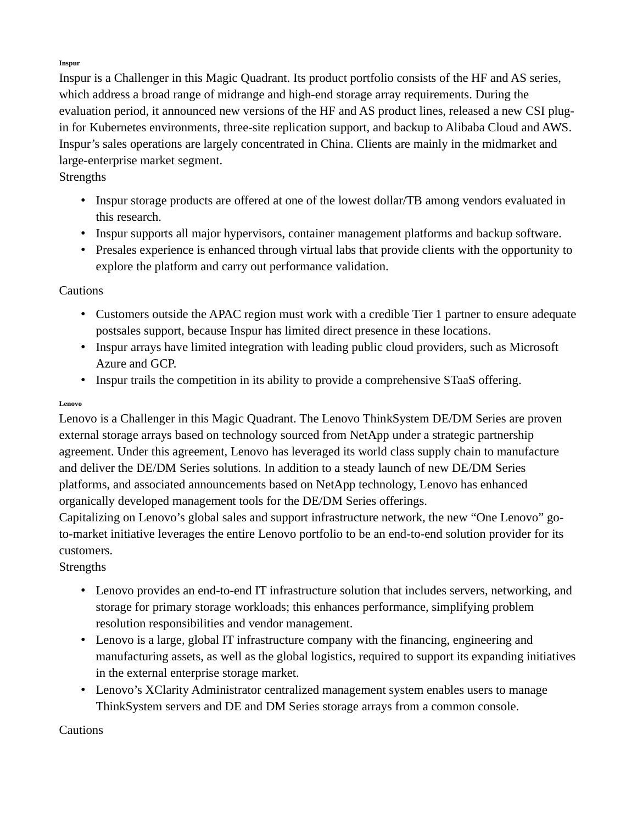Inspur

Inspur is a Challenger in this Magic Quadrant. Its product portfolio consists of the HF and AS series, which address a broad range of midrange and high-end storage array requirements. During the evaluation period, it announced new versions of the HF and AS product lines, released a new CSI plugin for Kubernetes environments, three-site replication support, and backup to Alibaba Cloud and AWS. Inspur's sales operations are largely concentrated in China. Clients are mainly in the midmarket and large-enterprise market segment.

**Strengths** 

- Inspur storage products are offered at one of the lowest dollar/TB among vendors evaluated in this research.
- Inspur supports all major hypervisors, container management platforms and backup software.
- Presales experience is enhanced through virtual labs that provide clients with the opportunity to explore the platform and carry out performance validation.

#### **Cautions**

- Customers outside the APAC region must work with a credible Tier 1 partner to ensure adequate postsales support, because Inspur has limited direct presence in these locations.
- Inspur arrays have limited integration with leading public cloud providers, such as Microsoft Azure and GCP.
- Inspur trails the competition in its ability to provide a comprehensive STaaS offering.

#### Lenovo

Lenovo is a Challenger in this Magic Quadrant. The Lenovo ThinkSystem DE/DM Series are proven external storage arrays based on technology sourced from NetApp under a strategic partnership agreement. Under this agreement, Lenovo has leveraged its world class supply chain to manufacture and deliver the DE/DM Series solutions. In addition to a steady launch of new DE/DM Series platforms, and associated announcements based on NetApp technology, Lenovo has enhanced organically developed management tools for the DE/DM Series offerings.

Capitalizing on Lenovo's global sales and support infrastructure network, the new "One Lenovo" goto-market initiative leverages the entire Lenovo portfolio to be an end-to-end solution provider for its customers.

**Strengths** 

- Lenovo provides an end-to-end IT infrastructure solution that includes servers, networking, and storage for primary storage workloads; this enhances performance, simplifying problem resolution responsibilities and vendor management.
- Lenovo is a large, global IT infrastructure company with the financing, engineering and manufacturing assets, as well as the global logistics, required to support its expanding initiatives in the external enterprise storage market.
- Lenovo's XClarity Administrator centralized management system enables users to manage ThinkSystem servers and DE and DM Series storage arrays from a common console.

**Cautions**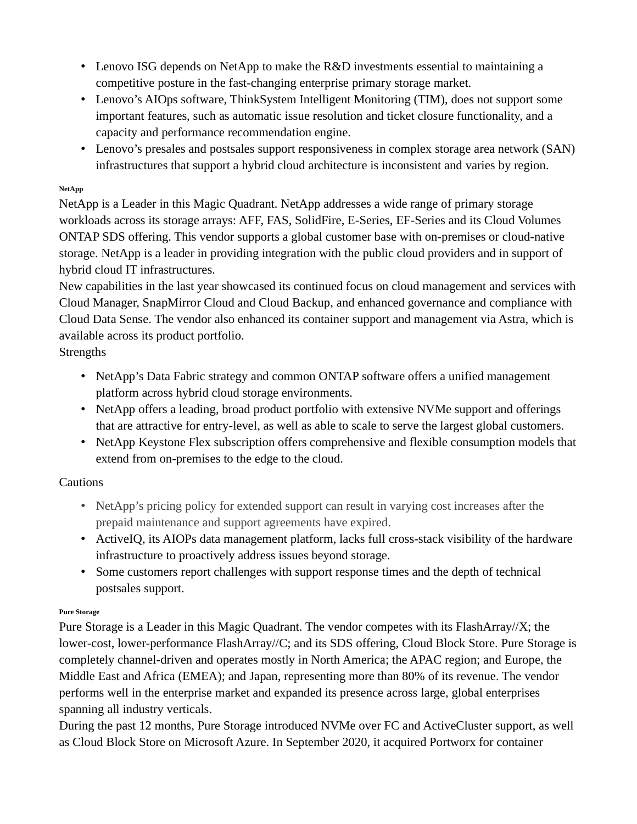- Lenovo ISG depends on NetApp to make the R&D investments essential to maintaining a competitive posture in the fast-changing enterprise primary storage market.
- Lenovo's AIOps software, ThinkSystem Intelligent Monitoring (TIM), does not support some important features, such as automatic issue resolution and ticket closure functionality, and a capacity and performance recommendation engine.
- Lenovo's presales and postsales support responsiveness in complex storage area network (SAN) infrastructures that support a hybrid cloud architecture is inconsistent and varies by region.

#### NetApp

NetApp is a Leader in this Magic Quadrant. NetApp addresses a wide range of primary storage workloads across its storage arrays: AFF, FAS, SolidFire, E-Series, EF-Series and its Cloud Volumes ONTAP SDS offering. This vendor supports a global customer base with on-premises or cloud-native storage. NetApp is a leader in providing integration with the public cloud providers and in support of hybrid cloud IT infrastructures.

New capabilities in the last year showcased its continued focus on cloud management and services with Cloud Manager, SnapMirror Cloud and Cloud Backup, and enhanced governance and compliance with Cloud Data Sense. The vendor also enhanced its container support and management via Astra, which is available across its product portfolio.

**Strengths** 

- NetApp's Data Fabric strategy and common ONTAP software offers a unified management platform across hybrid cloud storage environments.
- NetApp offers a leading, broad product portfolio with extensive NVMe support and offerings that are attractive for entry-level, as well as able to scale to serve the largest global customers.
- NetApp Keystone Flex subscription offers comprehensive and flexible consumption models that extend from on-premises to the edge to the cloud.

# Cautions

- NetApp's pricing policy for extended support can result in varying cost increases after the prepaid maintenance and support agreements have expired.
- ActiveIQ, its AIOPs data management platform, lacks full cross-stack visibility of the hardware infrastructure to proactively address issues beyond storage.
- Some customers report challenges with support response times and the depth of technical postsales support.

#### Pure Storage

Pure Storage is a Leader in this Magic Quadrant. The vendor competes with its FlashArray//X; the lower-cost, lower-performance FlashArray//C; and its SDS offering, Cloud Block Store. Pure Storage is completely channel-driven and operates mostly in North America; the APAC region; and Europe, the Middle East and Africa (EMEA); and Japan, representing more than 80% of its revenue. The vendor performs well in the enterprise market and expanded its presence across large, global enterprises spanning all industry verticals.

During the past 12 months, Pure Storage introduced NVMe over FC and ActiveCluster support, as well as Cloud Block Store on Microsoft Azure. In September 2020, it acquired Portworx for container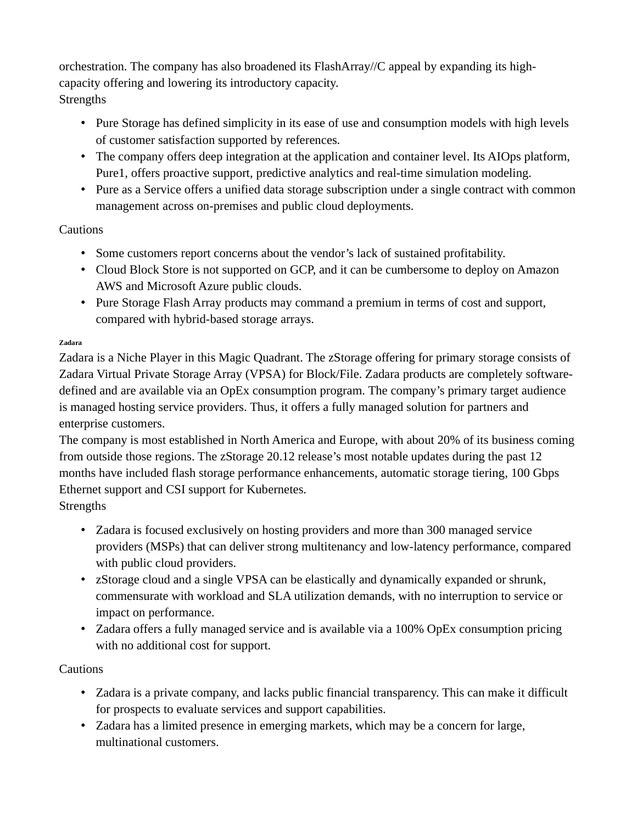orchestration. The company has also broadened its FlashArray//C appeal by expanding its highcapacity offering and lowering its introductory capacity. **Strengths** 

- Pure Storage has defined simplicity in its ease of use and consumption models with high levels of customer satisfaction supported by references.
- The company offers deep integration at the application and container level. Its AIOps platform, Pure1, offers proactive support, predictive analytics and real-time simulation modeling.
- Pure as a Service offers a unified data storage subscription under a single contract with common management across on-premises and public cloud deployments.

## **Cautions**

- Some customers report concerns about the vendor's lack of sustained profitability.
- Cloud Block Store is not supported on GCP, and it can be cumbersome to deploy on Amazon AWS and Microsoft Azure public clouds.
- Pure Storage Flash Array products may command a premium in terms of cost and support, compared with hybrid-based storage arrays.

## Zadara

Zadara is a Niche Player in this Magic Quadrant. The zStorage offering for primary storage consists of Zadara Virtual Private Storage Array (VPSA) for Block/File. Zadara products are completely softwaredefined and are available via an OpEx consumption program. The company's primary target audience is managed hosting service providers. Thus, it offers a fully managed solution for partners and enterprise customers.

The company is most established in North America and Europe, with about 20% of its business coming from outside those regions. The zStorage 20.12 release's most notable updates during the past 12 months have included flash storage performance enhancements, automatic storage tiering, 100 Gbps Ethernet support and CSI support for Kubernetes.

**Strengths** 

- Zadara is focused exclusively on hosting providers and more than 300 managed service providers (MSPs) that can deliver strong multitenancy and low-latency performance, compared with public cloud providers.
- zStorage cloud and a single VPSA can be elastically and dynamically expanded or shrunk, commensurate with workload and SLA utilization demands, with no interruption to service or impact on performance.
- Zadara offers a fully managed service and is available via a 100% OpEx consumption pricing with no additional cost for support.

# **Cautions**

- Zadara is a private company, and lacks public financial transparency. This can make it difficult for prospects to evaluate services and support capabilities.
- Zadara has a limited presence in emerging markets, which may be a concern for large, multinational customers.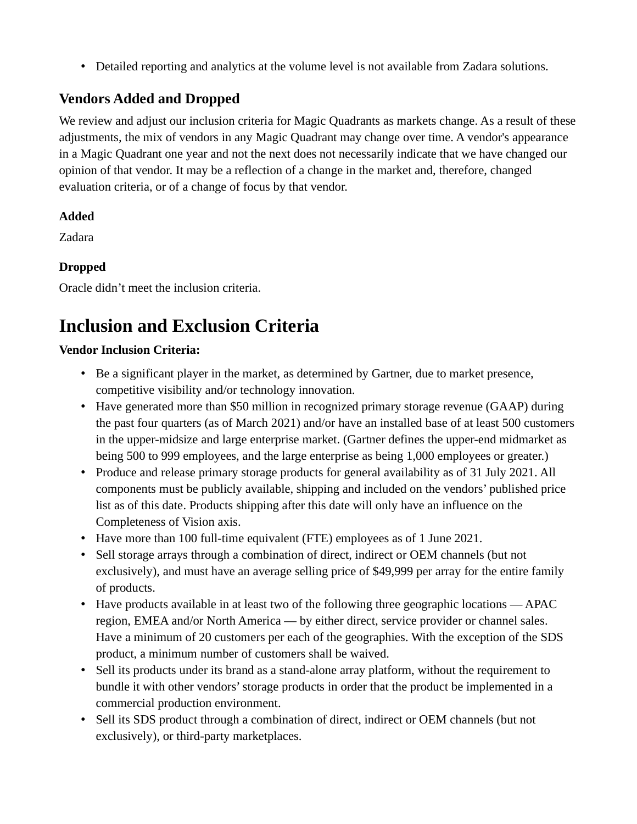• Detailed reporting and analytics at the volume level is not available from Zadara solutions.

# Vendors Added and Dropped

We review and adjust our inclusion criteria for Magic Quadrants as markets change. As a result of these adjustments, the mix of vendors in any Magic Quadrant may change over time. A vendor's appearance in a Magic Quadrant one year and not the next does not necessarily indicate that we have changed our opinion of that vendor. It may be a reflection of a change in the market and, therefore, changed evaluation criteria, or of a change of focus by that vendor.

# Added

Zadara

# Dropped

Oracle didn't meet the inclusion criteria.

# Inclusion and Exclusion Criteria

# Vendor Inclusion Criteria:

- Be a significant player in the market, as determined by Gartner, due to market presence, competitive visibility and/or technology innovation.
- Have generated more than \$50 million in recognized primary storage revenue (GAAP) during the past four quarters (as of March 2021) and/or have an installed base of at least 500 customers in the upper-midsize and large enterprise market. (Gartner defines the upper-end midmarket as being 500 to 999 employees, and the large enterprise as being 1,000 employees or greater.)
- Produce and release primary storage products for general availability as of 31 July 2021. All components must be publicly available, shipping and included on the vendors' published price list as of this date. Products shipping after this date will only have an influence on the Completeness of Vision axis.
- Have more than 100 full-time equivalent (FTE) employees as of 1 June 2021.
- Sell storage arrays through a combination of direct, indirect or OEM channels (but not exclusively), and must have an average selling price of \$49,999 per array for the entire family of products.
- Have products available in at least two of the following three geographic locations APAC region, EMEA and/or North America — by either direct, service provider or channel sales. Have a minimum of 20 customers per each of the geographies. With the exception of the SDS product, a minimum number of customers shall be waived.
- Sell its products under its brand as a stand-alone array platform, without the requirement to bundle it with other vendors' storage products in order that the product be implemented in a commercial production environment.
- Sell its SDS product through a combination of direct, indirect or OEM channels (but not exclusively), or third-party marketplaces.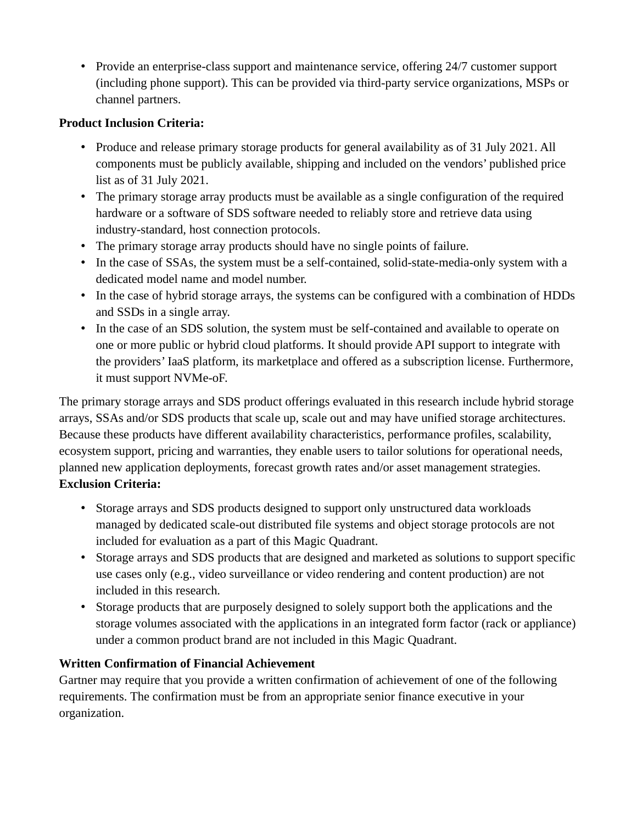• Provide an enterprise-class support and maintenance service, offering 24/7 customer support (including phone support). This can be provided via third-party service organizations, MSPs or channel partners.

## Product Inclusion Criteria:

- Produce and release primary storage products for general availability as of 31 July 2021. All components must be publicly available, shipping and included on the vendors' published price list as of 31 July 2021.
- The primary storage array products must be available as a single configuration of the required hardware or a software of SDS software needed to reliably store and retrieve data using industry-standard, host connection protocols.
- The primary storage array products should have no single points of failure.
- In the case of SSAs, the system must be a self-contained, solid-state-media-only system with a dedicated model name and model number.
- In the case of hybrid storage arrays, the systems can be configured with a combination of HDDs and SSDs in a single array.
- In the case of an SDS solution, the system must be self-contained and available to operate on one or more public or hybrid cloud platforms. It should provide API support to integrate with the providers' IaaS platform, its marketplace and offered as a subscription license. Furthermore, it must support NVMe-oF.

The primary storage arrays and SDS product offerings evaluated in this research include hybrid storage arrays, SSAs and/or SDS products that scale up, scale out and may have unified storage architectures. Because these products have different availability characteristics, performance profiles, scalability, ecosystem support, pricing and warranties, they enable users to tailor solutions for operational needs, planned new application deployments, forecast growth rates and/or asset management strategies. Exclusion Criteria:

- Storage arrays and SDS products designed to support only unstructured data workloads managed by dedicated scale-out distributed file systems and object storage protocols are not included for evaluation as a part of this Magic Quadrant.
- Storage arrays and SDS products that are designed and marketed as solutions to support specific use cases only (e.g., video surveillance or video rendering and content production) are not included in this research.
- Storage products that are purposely designed to solely support both the applications and the storage volumes associated with the applications in an integrated form factor (rack or appliance) under a common product brand are not included in this Magic Quadrant.

# Written Confirmation of Financial Achievement

Gartner may require that you provide a written confirmation of achievement of one of the following requirements. The confirmation must be from an appropriate senior finance executive in your organization.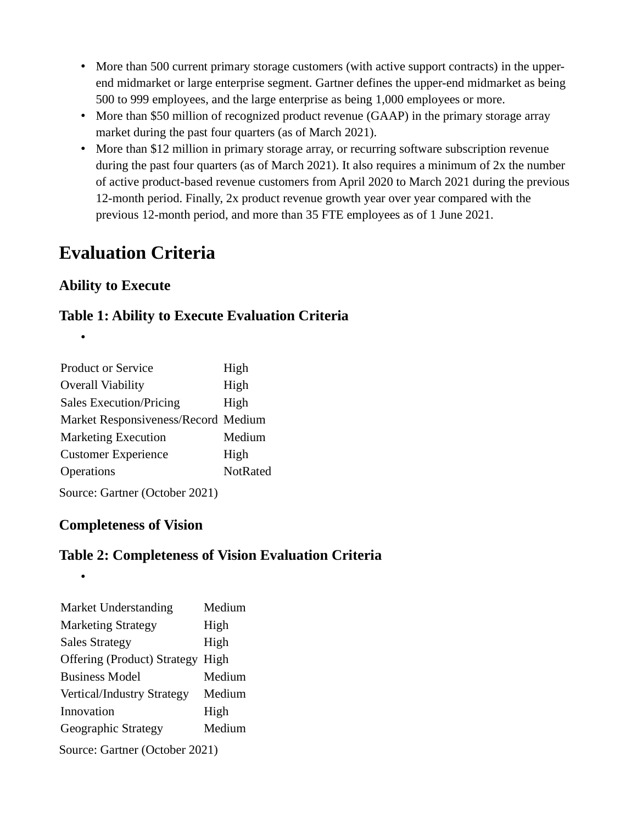- More than 500 current primary storage customers (with active support contracts) in the upperend midmarket or large enterprise segment. Gartner defines the upper-end midmarket as being 500 to 999 employees, and the large enterprise as being 1,000 employees or more.
- More than \$50 million of recognized product revenue (GAAP) in the primary storage array market during the past four quarters (as of March 2021).
- More than \$12 million in primary storage array, or recurring software subscription revenue during the past four quarters (as of March 2021). It also requires a minimum of 2x the number of active product-based revenue customers from April 2020 to March 2021 during the previous 12-month period. Finally, 2x product revenue growth year over year compared with the previous 12-month period, and more than 35 FTE employees as of 1 June 2021.

# Evaluation Criteria

# Ability to Execute

# Table 1: Ability to Execute Evaluation Criteria

•

•

| <b>Product or Service</b>           | High     |
|-------------------------------------|----------|
| Overall Viability                   | High     |
| <b>Sales Execution/Pricing</b>      | High     |
| Market Responsiveness/Record Medium |          |
| <b>Marketing Execution</b>          | Medium   |
| <b>Customer Experience</b>          | High     |
| <b>Operations</b>                   | NotRated |
| Source: Gartner (October 2021)      |          |

# Completeness of Vision

# Table 2: Completeness of Vision Evaluation Criteria

| <b>Market Understanding</b>        | Medium |  |
|------------------------------------|--------|--|
| <b>Marketing Strategy</b>          | High   |  |
| <b>Sales Strategy</b>              | High   |  |
| <b>Offering (Product) Strategy</b> | High   |  |
| <b>Business Model</b>              | Medium |  |
| Vertical/Industry Strategy         | Medium |  |
| Innovation                         | High   |  |
| Geographic Strategy                | Medium |  |
| Source: Gartner (October 2021)     |        |  |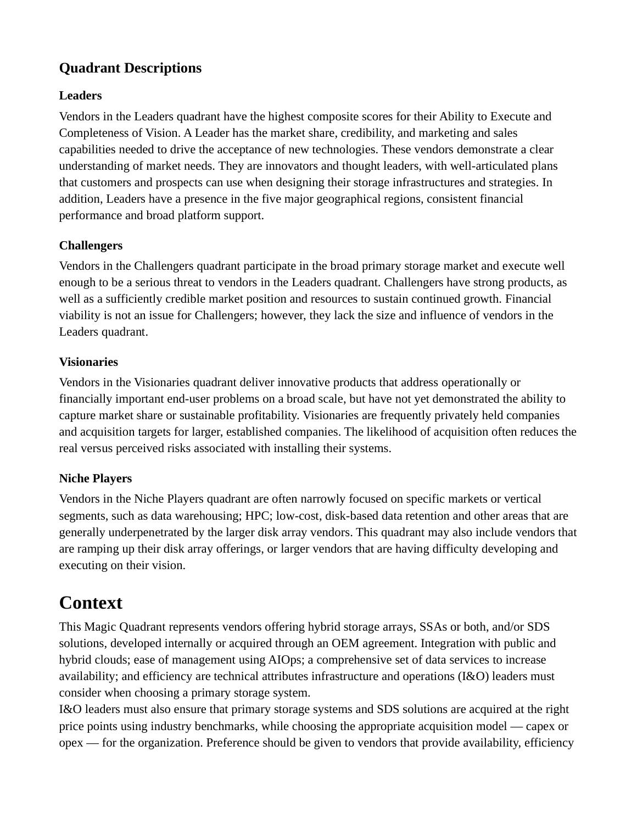# Quadrant Descriptions

## Leaders

Vendors in the Leaders quadrant have the highest composite scores for their Ability to Execute and Completeness of Vision. A Leader has the market share, credibility, and marketing and sales capabilities needed to drive the acceptance of new technologies. These vendors demonstrate a clear understanding of market needs. They are innovators and thought leaders, with well-articulated plans that customers and prospects can use when designing their storage infrastructures and strategies. In addition, Leaders have a presence in the five major geographical regions, consistent financial performance and broad platform support.

#### Challengers

Vendors in the Challengers quadrant participate in the broad primary storage market and execute well enough to be a serious threat to vendors in the Leaders quadrant. Challengers have strong products, as well as a sufficiently credible market position and resources to sustain continued growth. Financial viability is not an issue for Challengers; however, they lack the size and influence of vendors in the Leaders quadrant.

#### Visionaries

Vendors in the Visionaries quadrant deliver innovative products that address operationally or financially important end-user problems on a broad scale, but have not yet demonstrated the ability to capture market share or sustainable profitability. Visionaries are frequently privately held companies and acquisition targets for larger, established companies. The likelihood of acquisition often reduces the real versus perceived risks associated with installing their systems.

## Niche Players

Vendors in the Niche Players quadrant are often narrowly focused on specific markets or vertical segments, such as data warehousing; HPC; low-cost, disk-based data retention and other areas that are generally underpenetrated by the larger disk array vendors. This quadrant may also include vendors that are ramping up their disk array offerings, or larger vendors that are having difficulty developing and executing on their vision.

# **Context**

This Magic Quadrant represents vendors offering hybrid storage arrays, SSAs or both, and/or SDS solutions, developed internally or acquired through an OEM agreement. Integration with public and hybrid clouds; ease of management using AIOps; a comprehensive set of data services to increase availability; and efficiency are technical attributes infrastructure and operations (I&O) leaders must consider when choosing a primary storage system.

I&O leaders must also ensure that primary storage systems and SDS solutions are acquired at the right price points using industry benchmarks, while choosing the appropriate acquisition model — capex or opex — for the organization. Preference should be given to vendors that provide availability, efficiency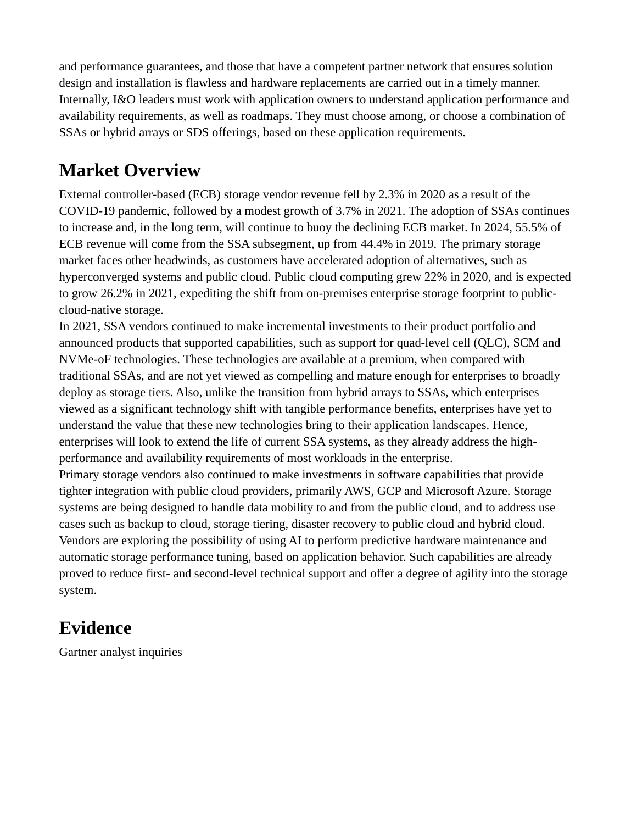and performance guarantees, and those that have a competent partner network that ensures solution design and installation is flawless and hardware replacements are carried out in a timely manner. Internally, I&O leaders must work with application owners to understand application performance and availability requirements, as well as roadmaps. They must choose among, or choose a combination of SSAs or hybrid arrays or SDS offerings, based on these application requirements.

# Market Overview

External controller-based (ECB) storage vendor revenue fell by 2.3% in 2020 as a result of the COVID-19 pandemic, followed by a modest growth of 3.7% in 2021. The adoption of SSAs continues to increase and, in the long term, will continue to buoy the declining ECB market. In 2024, 55.5% of ECB revenue will come from the SSA subsegment, up from 44.4% in 2019. The primary storage market faces other headwinds, as customers have accelerated adoption of alternatives, such as hyperconverged systems and public cloud. Public cloud computing grew 22% in 2020, and is expected to grow 26.2% in 2021, expediting the shift from on-premises enterprise storage footprint to publiccloud-native storage.

In 2021, SSA vendors continued to make incremental investments to their product portfolio and announced products that supported capabilities, such as support for quad-level cell (QLC), SCM and NVMe-oF technologies. These technologies are available at a premium, when compared with traditional SSAs, and are not yet viewed as compelling and mature enough for enterprises to broadly deploy as storage tiers. Also, unlike the transition from hybrid arrays to SSAs, which enterprises viewed as a significant technology shift with tangible performance benefits, enterprises have yet to understand the value that these new technologies bring to their application landscapes. Hence, enterprises will look to extend the life of current SSA systems, as they already address the highperformance and availability requirements of most workloads in the enterprise.

Primary storage vendors also continued to make investments in software capabilities that provide tighter integration with public cloud providers, primarily AWS, GCP and Microsoft Azure. Storage systems are being designed to handle data mobility to and from the public cloud, and to address use cases such as backup to cloud, storage tiering, disaster recovery to public cloud and hybrid cloud. Vendors are exploring the possibility of using AI to perform predictive hardware maintenance and automatic storage performance tuning, based on application behavior. Such capabilities are already proved to reduce first- and second-level technical support and offer a degree of agility into the storage system.

# Evidence

Gartner analyst inquiries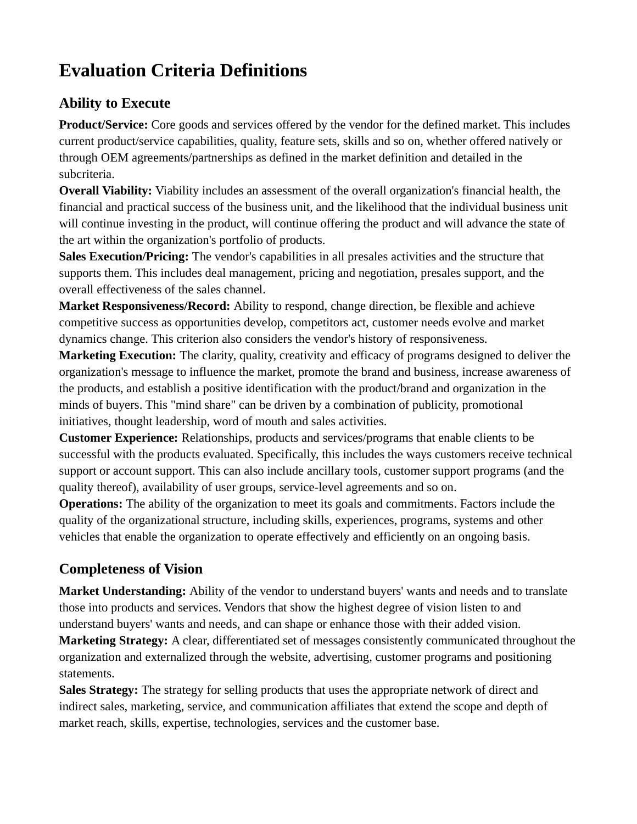# Evaluation Criteria Definitions

# Ability to Execute

**Product/Service:** Core goods and services offered by the vendor for the defined market. This includes current product/service capabilities, quality, feature sets, skills and so on, whether offered natively or through OEM agreements/partnerships as defined in the market definition and detailed in the subcriteria.

Overall Viability: Viability includes an assessment of the overall organization's financial health, the financial and practical success of the business unit, and the likelihood that the individual business unit will continue investing in the product, will continue offering the product and will advance the state of the art within the organization's portfolio of products.

Sales Execution/Pricing: The vendor's capabilities in all presales activities and the structure that supports them. This includes deal management, pricing and negotiation, presales support, and the overall effectiveness of the sales channel.

Market Responsiveness/Record: Ability to respond, change direction, be flexible and achieve competitive success as opportunities develop, competitors act, customer needs evolve and market dynamics change. This criterion also considers the vendor's history of responsiveness.

Marketing Execution: The clarity, quality, creativity and efficacy of programs designed to deliver the organization's message to influence the market, promote the brand and business, increase awareness of the products, and establish a positive identification with the product/brand and organization in the minds of buyers. This "mind share" can be driven by a combination of publicity, promotional initiatives, thought leadership, word of mouth and sales activities.

Customer Experience: Relationships, products and services/programs that enable clients to be successful with the products evaluated. Specifically, this includes the ways customers receive technical support or account support. This can also include ancillary tools, customer support programs (and the quality thereof), availability of user groups, service-level agreements and so on.

Operations: The ability of the organization to meet its goals and commitments. Factors include the quality of the organizational structure, including skills, experiences, programs, systems and other vehicles that enable the organization to operate effectively and efficiently on an ongoing basis.

# Completeness of Vision

Market Understanding: Ability of the vendor to understand buyers' wants and needs and to translate those into products and services. Vendors that show the highest degree of vision listen to and understand buyers' wants and needs, and can shape or enhance those with their added vision.

Marketing Strategy: A clear, differentiated set of messages consistently communicated throughout the organization and externalized through the website, advertising, customer programs and positioning statements.

Sales Strategy: The strategy for selling products that uses the appropriate network of direct and indirect sales, marketing, service, and communication affiliates that extend the scope and depth of market reach, skills, expertise, technologies, services and the customer base.